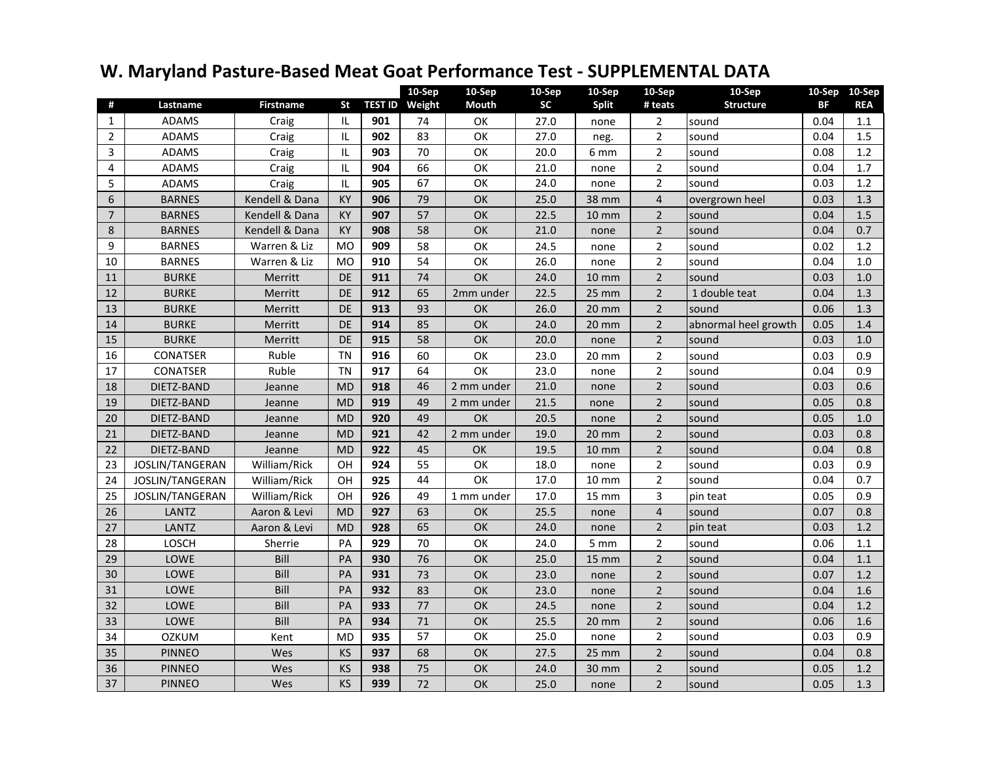## **W. Maryland Pasture-Based Meat Goat Performance Test - SUPPLEMENTAL DATA**

|                |                 |                  |                |     | 10-Sep                | 10-Sep     | 10-Sep    | 10-Sep            | 10-Sep         | 10-Sep               |      | 10-Sep 10-Sep |
|----------------|-----------------|------------------|----------------|-----|-----------------------|------------|-----------|-------------------|----------------|----------------------|------|---------------|
| #              | Lastname        | <b>Firstname</b> | <b>St</b>      |     | <b>TEST ID</b> Weight | Mouth      | <b>SC</b> | <b>Split</b>      | # teats        | <b>Structure</b>     | BF   | <b>REA</b>    |
| $\mathbf{1}$   | <b>ADAMS</b>    | Craig            | IL             | 901 | 74                    | ОΚ         | 27.0      | none              | $\overline{2}$ | sound                | 0.04 | 1.1           |
| $\overline{2}$ | <b>ADAMS</b>    | Craig            | IL             | 902 | 83                    | OK         | 27.0      | neg.              | $\overline{2}$ | sound                | 0.04 | 1.5           |
| 3              | <b>ADAMS</b>    | Craig            | IL             | 903 | 70                    | OK         | 20.0      | 6 mm              | $\overline{2}$ | sound                | 0.08 | 1.2           |
| 4              | <b>ADAMS</b>    | Craig            | IL             | 904 | 66                    | OK         | 21.0      | none              | $\overline{2}$ | sound                | 0.04 | 1.7           |
| 5              | ADAMS           | Craig            | IL             | 905 | 67                    | OK         | 24.0      | none              | $\overline{2}$ | sound                | 0.03 | 1.2           |
| 6              | <b>BARNES</b>   | Kendell & Dana   | KY             | 906 | 79                    | OK         | 25.0      | 38 mm             | $\overline{4}$ | overgrown heel       | 0.03 | 1.3           |
| $\overline{7}$ | <b>BARNES</b>   | Kendell & Dana   | KY             | 907 | 57                    | OK         | 22.5      | <b>10 mm</b>      | $\overline{2}$ | sound                | 0.04 | 1.5           |
| 8              | <b>BARNES</b>   | Kendell & Dana   | <b>KY</b>      | 908 | 58                    | OK         | 21.0      | none              | $\overline{2}$ | sound                | 0.04 | 0.7           |
| 9              | <b>BARNES</b>   | Warren & Liz     | <b>MO</b>      | 909 | 58                    | OK         | 24.5      | none              | $\overline{2}$ | sound                | 0.02 | 1.2           |
| 10             | <b>BARNES</b>   | Warren & Liz     | M <sub>O</sub> | 910 | 54                    | OK         | 26.0      | none              | $\overline{2}$ | sound                | 0.04 | 1.0           |
| 11             | <b>BURKE</b>    | Merritt          | <b>DE</b>      | 911 | 74                    | OK         | 24.0      | $10 \, \text{mm}$ | $\overline{2}$ | sound                | 0.03 | 1.0           |
| 12             | <b>BURKE</b>    | Merritt          | <b>DE</b>      | 912 | 65                    | 2mm under  | 22.5      | $25 \, \text{mm}$ | $\overline{2}$ | 1 double teat        | 0.04 | 1.3           |
| 13             | <b>BURKE</b>    | Merritt          | <b>DE</b>      | 913 | 93                    | OK         | 26.0      | 20 mm             | $\overline{2}$ | sound                | 0.06 | 1.3           |
| 14             | <b>BURKE</b>    | Merritt          | <b>DE</b>      | 914 | 85                    | OK         | 24.0      | $20 \, \text{mm}$ | $\overline{2}$ | abnormal heel growth | 0.05 | 1.4           |
| 15             | <b>BURKE</b>    | <b>Merritt</b>   | <b>DE</b>      | 915 | 58                    | <b>OK</b>  | 20.0      | none              | $\overline{2}$ | sound                | 0.03 | 1.0           |
| 16             | <b>CONATSER</b> | Ruble            | TN             | 916 | 60                    | OK         | 23.0      | $20 \text{ mm}$   | $\overline{2}$ | sound                | 0.03 | 0.9           |
| 17             | CONATSER        | Ruble            | <b>TN</b>      | 917 | 64                    | OK         | 23.0      | none              | $\overline{2}$ | sound                | 0.04 | 0.9           |
| 18             | DIETZ-BAND      | Jeanne           | <b>MD</b>      | 918 | 46                    | 2 mm under | 21.0      | none              | $\overline{2}$ | sound                | 0.03 | 0.6           |
| 19             | DIETZ-BAND      | Jeanne           | <b>MD</b>      | 919 | 49                    | 2 mm under | 21.5      | none              | $\overline{2}$ | sound                | 0.05 | 0.8           |
| 20             | DIETZ-BAND      | Jeanne           | <b>MD</b>      | 920 | 49                    | OK         | 20.5      | none              | $\overline{2}$ | sound                | 0.05 | $1.0$         |
| 21             | DIETZ-BAND      | Jeanne           | <b>MD</b>      | 921 | 42                    | 2 mm under | 19.0      | $20 \, \text{mm}$ | $\overline{2}$ | sound                | 0.03 | 0.8           |
| 22             | DIETZ-BAND      | Jeanne           | <b>MD</b>      | 922 | 45                    | OK         | 19.5      | $10 \text{ mm}$   | $\overline{2}$ | sound                | 0.04 | 0.8           |
| 23             | JOSLIN/TANGERAN | William/Rick     | OH             | 924 | 55                    | OK         | 18.0      | none              | $\overline{2}$ | sound                | 0.03 | 0.9           |
| 24             | JOSLIN/TANGERAN | William/Rick     | OH             | 925 | 44                    | OK         | 17.0      | $10 \, \text{mm}$ | $\overline{2}$ | sound                | 0.04 | 0.7           |
| 25             | JOSLIN/TANGERAN | William/Rick     | OH             | 926 | 49                    | 1 mm under | 17.0      | $15 \, \text{mm}$ | 3              | pin teat             | 0.05 | 0.9           |
| 26             | <b>LANTZ</b>    | Aaron & Levi     | <b>MD</b>      | 927 | 63                    | OK         | 25.5      | none              | $\overline{4}$ | sound                | 0.07 | 0.8           |
| 27             | LANTZ           | Aaron & Levi     | <b>MD</b>      | 928 | 65                    | <b>OK</b>  | 24.0      | none              | 2              | pin teat             | 0.03 | 1.2           |
| 28             | LOSCH           | Sherrie          | PA             | 929 | 70                    | OK         | 24.0      | $5 \text{ mm}$    | $\overline{2}$ | sound                | 0.06 | 1.1           |
| 29             | LOWE            | Bill             | PA             | 930 | 76                    | OK         | 25.0      | $15 \, \text{mm}$ | $\overline{2}$ | sound                | 0.04 | 1.1           |
| 30             | LOWE            | Bill             | PA             | 931 | 73                    | OK         | 23.0      | none              | $\overline{2}$ | sound                | 0.07 | 1.2           |
| 31             | LOWE            | Bill             | PA             | 932 | 83                    | OK         | 23.0      | none              | $\overline{2}$ | sound                | 0.04 | 1.6           |
| 32             | <b>LOWE</b>     | Bill             | PA             | 933 | 77                    | OK         | 24.5      | none              | $\overline{2}$ | sound                | 0.04 | 1.2           |
| 33             | <b>LOWE</b>     | Bill             | PA             | 934 | 71                    | <b>OK</b>  | 25.5      | $20 \, \text{mm}$ | $\overline{2}$ | sound                | 0.06 | 1.6           |
| 34             | <b>OZKUM</b>    | Kent             | <b>MD</b>      | 935 | 57                    | OK         | 25.0      | none              | $\overline{2}$ | sound                | 0.03 | 0.9           |
| 35             | <b>PINNEO</b>   | Wes              | KS             | 937 | 68                    | OK         | 27.5      | $25 \, \text{mm}$ | $\overline{2}$ | sound                | 0.04 | 0.8           |
| 36             | <b>PINNEO</b>   | Wes              | KS             | 938 | 75                    | OK         | 24.0      | 30 mm             | $\overline{2}$ | sound                | 0.05 | $1.2\,$       |
| 37             | <b>PINNEO</b>   | Wes              | <b>KS</b>      | 939 | 72                    | OK         | 25.0      | none              | $\overline{2}$ | sound                | 0.05 | 1.3           |